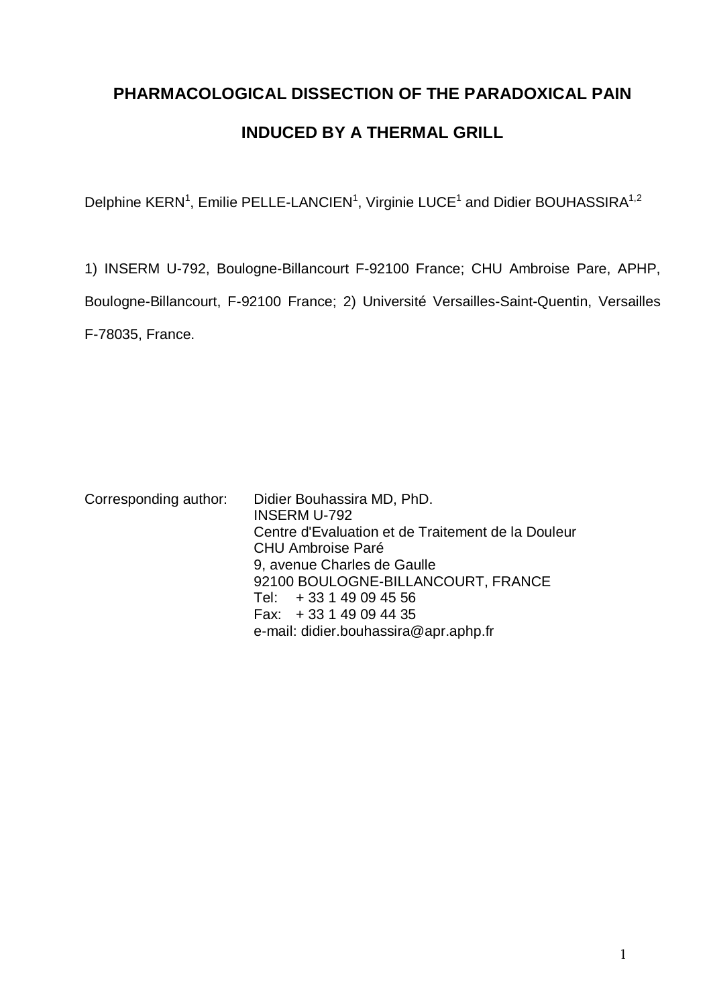# **PHARMACOLOGICAL DISSECTION OF THE PARADOXICAL PAIN INDUCED BY A THERMAL GRILL**

Delphine KERN<sup>1</sup>, Emilie PELLE-LANCIEN<sup>1</sup>, Virginie LUCE<sup>1</sup> and Didier BOUHASSIRA<sup>1,2</sup>

1) INSERM U-792, Boulogne-Billancourt F-92100 France; CHU Ambroise Pare, APHP, Boulogne-Billancourt, F-92100 France; 2) Université Versailles-Saint-Quentin, Versailles F-78035, France.

Corresponding author: Didier Bouhassira MD, PhD. INSERM U-792 Centre d'Evaluation et de Traitement de la Douleur CHU Ambroise Paré 9, avenue Charles de Gaulle 92100 BOULOGNE-BILLANCOURT, FRANCE Tel: + 33 1 49 09 45 56

Fax: + 33 1 49 09 44 35

e-mail: didier.bouhassira@apr.aphp.fr

 $\mathbf{1}$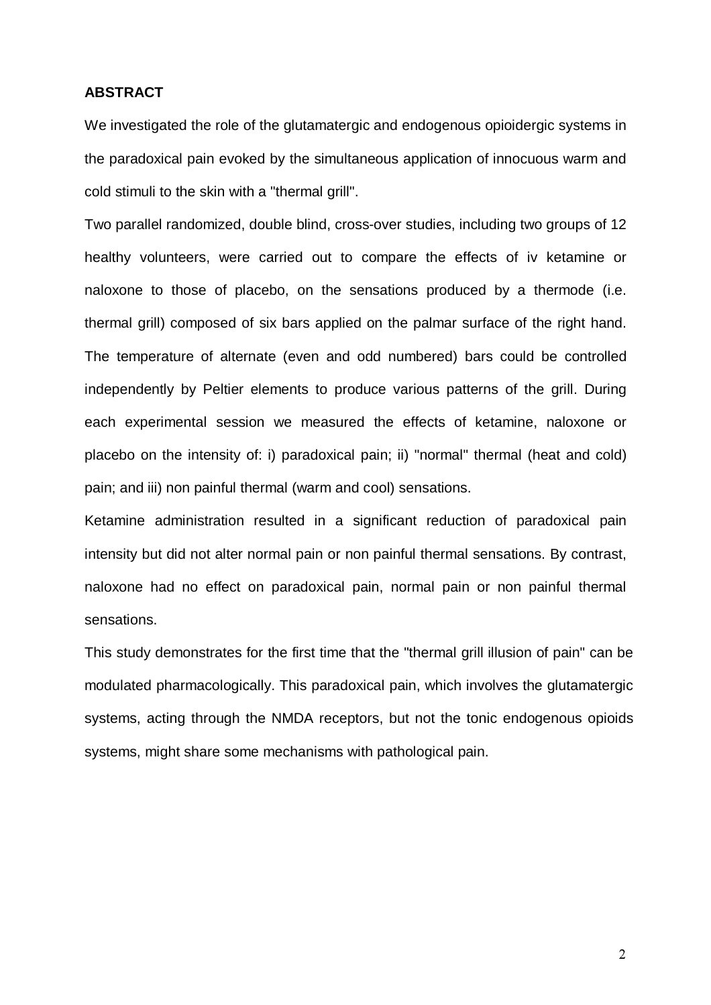# **ABSTRACT**

We investigated the role of the glutamatergic and endogenous opioidergic systems in the paradoxical pain evoked by the simultaneous application of innocuous warm and cold stimuli to the skin with a "thermal grill".

Two parallel randomized, double blind, cross-over studies, including two groups of 12 healthy volunteers, were carried out to compare the effects of iv ketamine or naloxone to those of placebo, on the sensations produced by a thermode (i.e. thermal grill) composed of six bars applied on the palmar surface of the right hand. The temperature of alternate (even and odd numbered) bars could be controlled independently by Peltier elements to produce various patterns of the grill. During each experimental session we measured the effects of ketamine, naloxone or placebo on the intensity of: i) paradoxical pain; ii) "normal" thermal (heat and cold) pain; and iii) non painful thermal (warm and cool) sensations.

Ketamine administration resulted in a significant reduction of paradoxical pain intensity but did not alter normal pain or non painful thermal sensations. By contrast, naloxone had no effect on paradoxical pain, normal pain or non painful thermal sensations.

This study demonstrates for the first time that the "thermal grill illusion of pain" can be modulated pharmacologically. This paradoxical pain, which involves the glutamatergic systems, acting through the NMDA receptors, but not the tonic endogenous opioids systems, might share some mechanisms with pathological pain.

 $\overline{2}$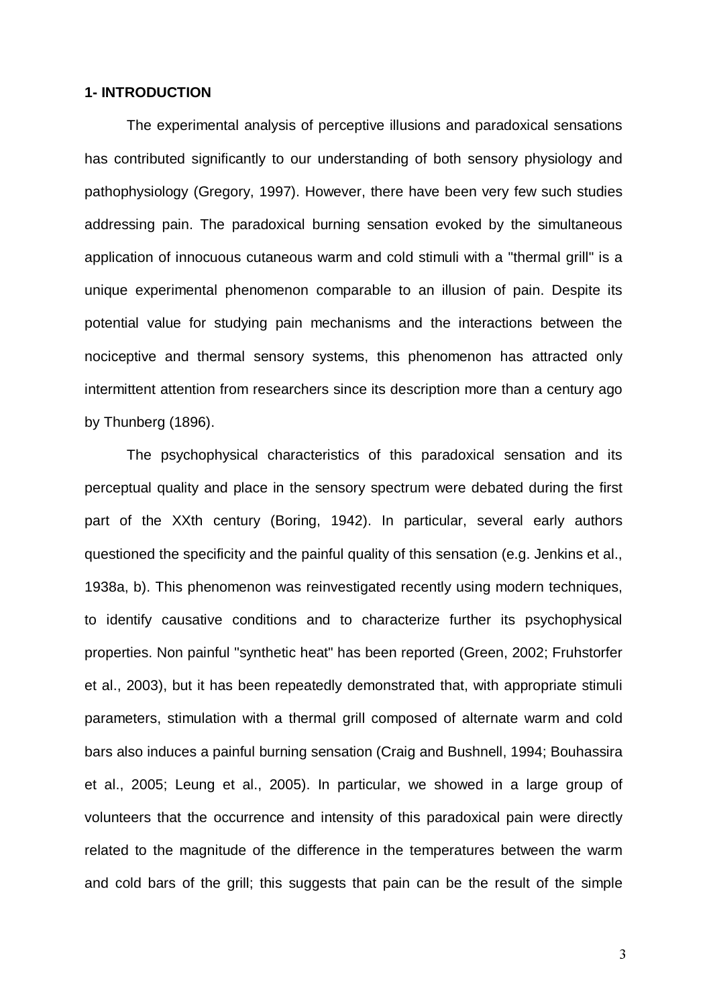## **1- INTRODUCTION**

The experimental analysis of perceptive illusions and paradoxical sensations has contributed significantly to our understanding of both sensory physiology and pathophysiology (Gregory, 1997). However, there have been very few such studies addressing pain. The paradoxical burning sensation evoked by the simultaneous application of innocuous cutaneous warm and cold stimuli with a "thermal grill" is a unique experimental phenomenon comparable to an illusion of pain. Despite its potential value for studying pain mechanisms and the interactions between the nociceptive and thermal sensory systems, this phenomenon has attracted only intermittent attention from researchers since its description more than a century ago by Thunberg (1896).

The psychophysical characteristics of this paradoxical sensation and its perceptual quality and place in the sensory spectrum were debated during the first part of the XXth century (Boring, 1942). In particular, several early authors questioned the specificity and the painful quality of this sensation (e.g. Jenkins et al., 1938a, b). This phenomenon was reinvestigated recently using modern techniques, to identify causative conditions and to characterize further its psychophysical properties. Non painful "synthetic heat" has been reported (Green, 2002; Fruhstorfer et al., 2003), but it has been repeatedly demonstrated that, with appropriate stimuli parameters, stimulation with a thermal grill composed of alternate warm and cold bars also induces a painful burning sensation (Craig and Bushnell, 1994; Bouhassira et al., 2005; Leung et al., 2005). In particular, we showed in a large group of volunteers that the occurrence and intensity of this paradoxical pain were directly related to the magnitude of the difference in the temperatures between the warm and cold bars of the grill; this suggests that pain can be the result of the simple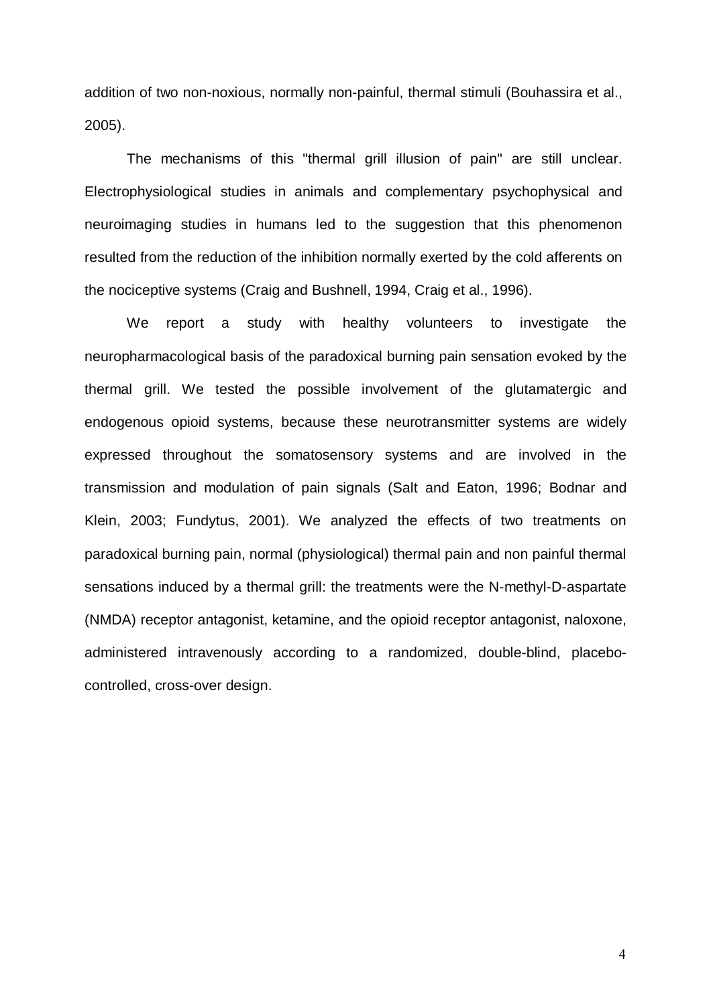addition of two non-noxious, normally non-painful, thermal stimuli (Bouhassira et al., 2005).

The mechanisms of this "thermal grill illusion of pain" are still unclear. Electrophysiological studies in animals and complementary psychophysical and neuroimaging studies in humans led to the suggestion that this phenomenon resulted from the reduction of the inhibition normally exerted by the cold afferents on the nociceptive systems (Craig and Bushnell, 1994, Craig et al., 1996).

We report a study with healthy volunteers to investigate the neuropharmacological basis of the paradoxical burning pain sensation evoked by the thermal grill. We tested the possible involvement of the glutamatergic and endogenous opioid systems, because these neurotransmitter systems are widely expressed throughout the somatosensory systems and are involved in the transmission and modulation of pain signals (Salt and Eaton, 1996; Bodnar and Klein, 2003; Fundytus, 2001). We analyzed the effects of two treatments on paradoxical burning pain, normal (physiological) thermal pain and non painful thermal sensations induced by a thermal grill: the treatments were the N-methyl-D-aspartate (NMDA) receptor antagonist, ketamine, and the opioid receptor antagonist, naloxone, administered intravenously according to a randomized, double-blind, placebocontrolled, cross-over design.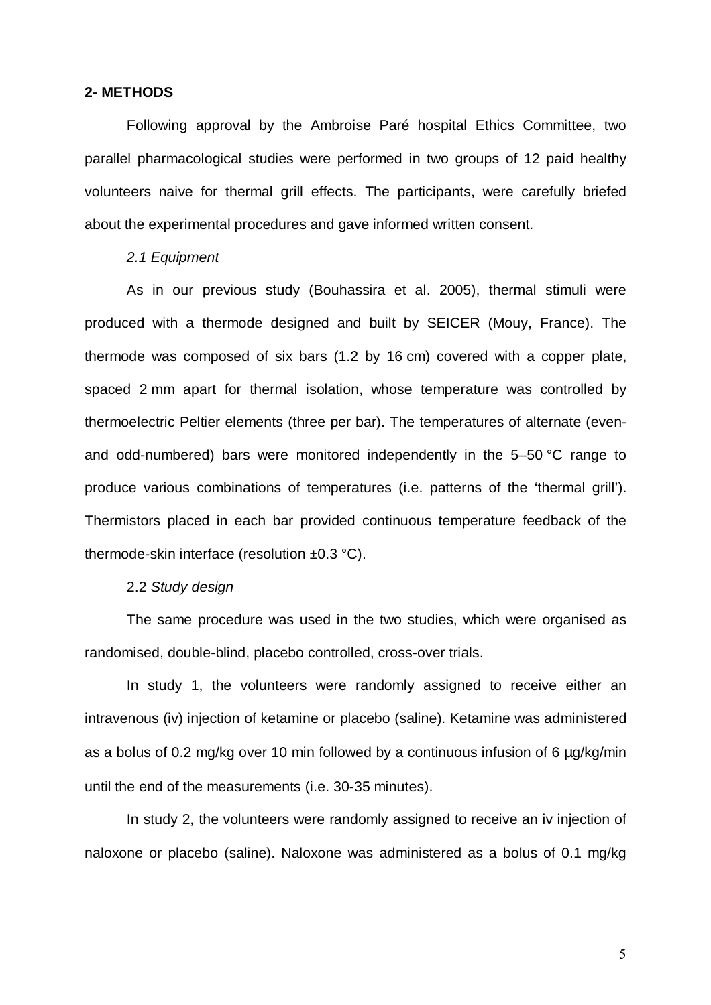## **2- METHODS**

Following approval by the Ambroise Paré hospital Ethics Committee, two parallel pharmacological studies were performed in two groups of 12 paid healthy volunteers naive for thermal grill effects. The participants, were carefully briefed about the experimental procedures and gave informed written consent.

# 2.1 Equipment

As in our previous study (Bouhassira et al. 2005), thermal stimuli were produced with a thermode designed and built by SEICER (Mouy, France). The thermode was composed of six bars (1.2 by 16 cm) covered with a copper plate, spaced 2 mm apart for thermal isolation, whose temperature was controlled by thermoelectric Peltier elements (three per bar). The temperatures of alternate (evenand odd-numbered) bars were monitored independently in the 5–50 °C range to produce various combinations of temperatures (i.e. patterns of the 'thermal grill'). Thermistors placed in each bar provided continuous temperature feedback of the thermode-skin interface (resolution ±0.3 °C).

## 2.2 Study design

The same procedure was used in the two studies, which were organised as randomised, double-blind, placebo controlled, cross-over trials.

In study 1, the volunteers were randomly assigned to receive either an intravenous (iv) injection of ketamine or placebo (saline). Ketamine was administered as a bolus of 0.2 mg/kg over 10 min followed by a continuous infusion of 6 µg/kg/min until the end of the measurements (i.e. 30-35 minutes).

In study 2, the volunteers were randomly assigned to receive an iv injection of naloxone or placebo (saline). Naloxone was administered as a bolus of 0.1 mg/kg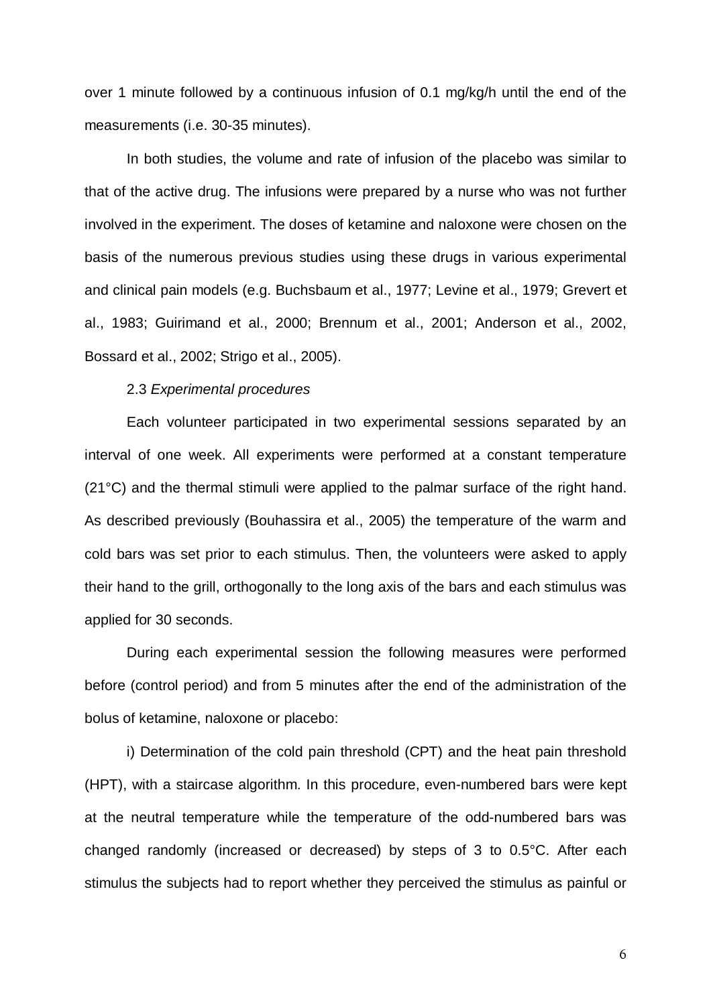over 1 minute followed by a continuous infusion of 0.1 mg/kg/h until the end of the measurements (i.e. 30-35 minutes).

In both studies, the volume and rate of infusion of the placebo was similar to that of the active drug. The infusions were prepared by a nurse who was not further involved in the experiment. The doses of ketamine and naloxone were chosen on the basis of the numerous previous studies using these drugs in various experimental and clinical pain models (e.g. Buchsbaum et al., 1977; Levine et al., 1979; Grevert et al., 1983; Guirimand et al., 2000; Brennum et al., 2001; Anderson et al., 2002, Bossard et al., 2002; Strigo et al., 2005).

### 2.3 Experimental procedures

Each volunteer participated in two experimental sessions separated by an interval of one week. All experiments were performed at a constant temperature (21°C) and the thermal stimuli were applied to the palmar surface of the right hand. As described previously (Bouhassira et al., 2005) the temperature of the warm and cold bars was set prior to each stimulus. Then, the volunteers were asked to apply their hand to the grill, orthogonally to the long axis of the bars and each stimulus was applied for 30 seconds.

During each experimental session the following measures were performed before (control period) and from 5 minutes after the end of the administration of the bolus of ketamine, naloxone or placebo:

i) Determination of the cold pain threshold (CPT) and the heat pain threshold (HPT), with a staircase algorithm. In this procedure, even-numbered bars were kept at the neutral temperature while the temperature of the odd-numbered bars was changed randomly (increased or decreased) by steps of 3 to 0.5°C. After each stimulus the subjects had to report whether they perceived the stimulus as painful or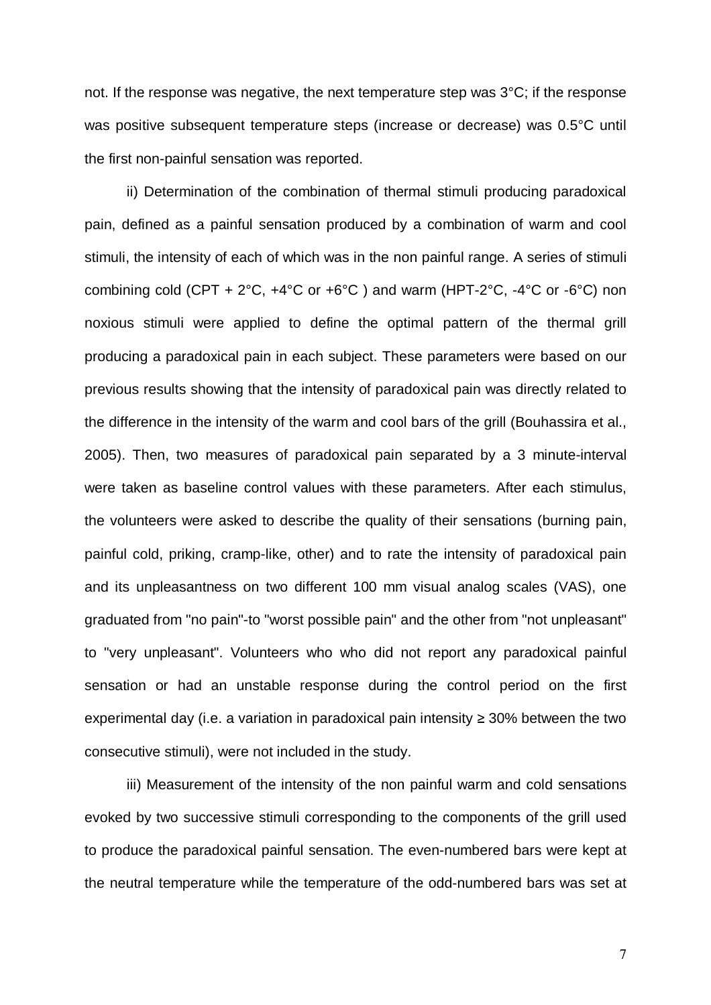not. If the response was negative, the next temperature step was 3°C; if the response was positive subsequent temperature steps (increase or decrease) was 0.5°C until the first non-painful sensation was reported.

ii) Determination of the combination of thermal stimuli producing paradoxical pain, defined as a painful sensation produced by a combination of warm and cool stimuli, the intensity of each of which was in the non painful range. A series of stimuli combining cold (CPT +  $2^{\circ}C$ ,  $+4^{\circ}C$  or  $+6^{\circ}C$ ) and warm (HPT- $2^{\circ}C$ ,  $-4^{\circ}C$  or  $-6^{\circ}C$ ) non noxious stimuli were applied to define the optimal pattern of the thermal grill producing a paradoxical pain in each subject. These parameters were based on our previous results showing that the intensity of paradoxical pain was directly related to the difference in the intensity of the warm and cool bars of the grill (Bouhassira et al., 2005). Then, two measures of paradoxical pain separated by a 3 minute-interval were taken as baseline control values with these parameters. After each stimulus, the volunteers were asked to describe the quality of their sensations (burning pain, painful cold, priking, cramp-like, other) and to rate the intensity of paradoxical pain and its unpleasantness on two different 100 mm visual analog scales (VAS), one graduated from "no pain"-to "worst possible pain" and the other from "not unpleasant" to "very unpleasant". Volunteers who who did not report any paradoxical painful sensation or had an unstable response during the control period on the first experimental day (i.e. a variation in paradoxical pain intensity  $\geq$  30% between the two consecutive stimuli), were not included in the study.

iii) Measurement of the intensity of the non painful warm and cold sensations evoked by two successive stimuli corresponding to the components of the grill used to produce the paradoxical painful sensation. The even-numbered bars were kept at the neutral temperature while the temperature of the odd-numbered bars was set at

 $\overline{7}$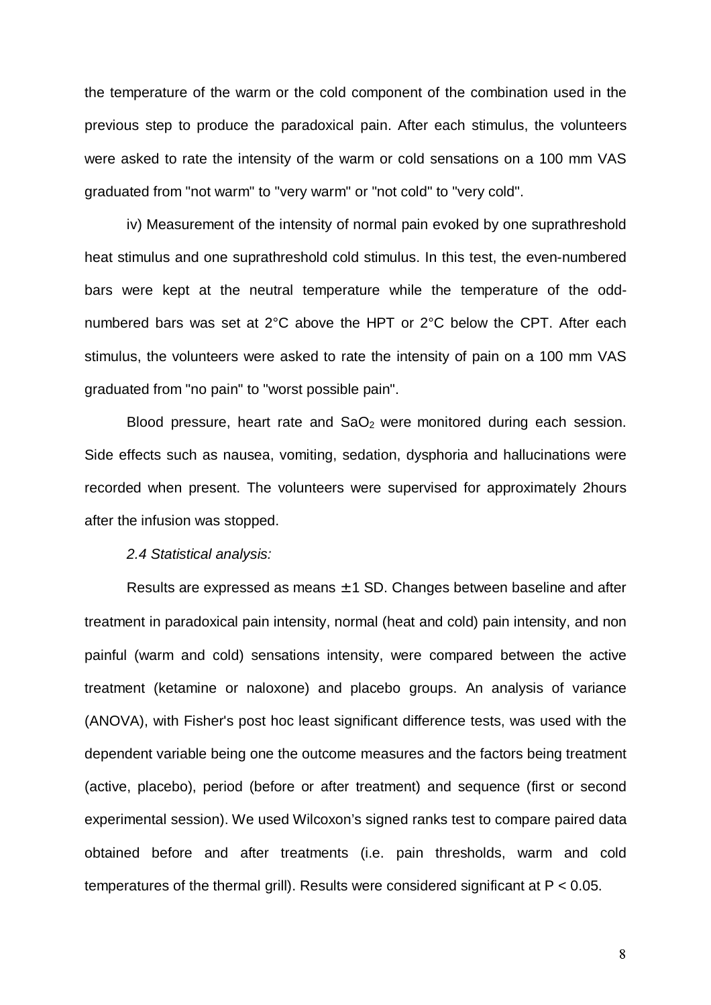the temperature of the warm or the cold component of the combination used in the previous step to produce the paradoxical pain. After each stimulus, the volunteers were asked to rate the intensity of the warm or cold sensations on a 100 mm VAS graduated from "not warm" to "very warm" or "not cold" to "very cold".

iv) Measurement of the intensity of normal pain evoked by one suprathreshold heat stimulus and one suprathreshold cold stimulus. In this test, the even-numbered bars were kept at the neutral temperature while the temperature of the oddnumbered bars was set at 2°C above the HPT or 2°C below the CPT. After each stimulus, the volunteers were asked to rate the intensity of pain on a 100 mm VAS graduated from "no pain" to "worst possible pain".

Blood pressure, heart rate and  $SaO<sub>2</sub>$  were monitored during each session. Side effects such as nausea, vomiting, sedation, dysphoria and hallucinations were recorded when present. The volunteers were supervised for approximately 2hours after the infusion was stopped.

#### 2.4 Statistical analysis:

Results are expressed as means  $\pm$  1 SD. Changes between baseline and after treatment in paradoxical pain intensity, normal (heat and cold) pain intensity, and non painful (warm and cold) sensations intensity, were compared between the active treatment (ketamine or naloxone) and placebo groups. An analysis of variance (ANOVA), with Fisher's post hoc least significant difference tests, was used with the dependent variable being one the outcome measures and the factors being treatment (active, placebo), period (before or after treatment) and sequence (first or second experimental session). We used Wilcoxon's signed ranks test to compare paired data obtained before and after treatments (i.e. pain thresholds, warm and cold temperatures of the thermal grill). Results were considered significant at P < 0.05.

 $8\,$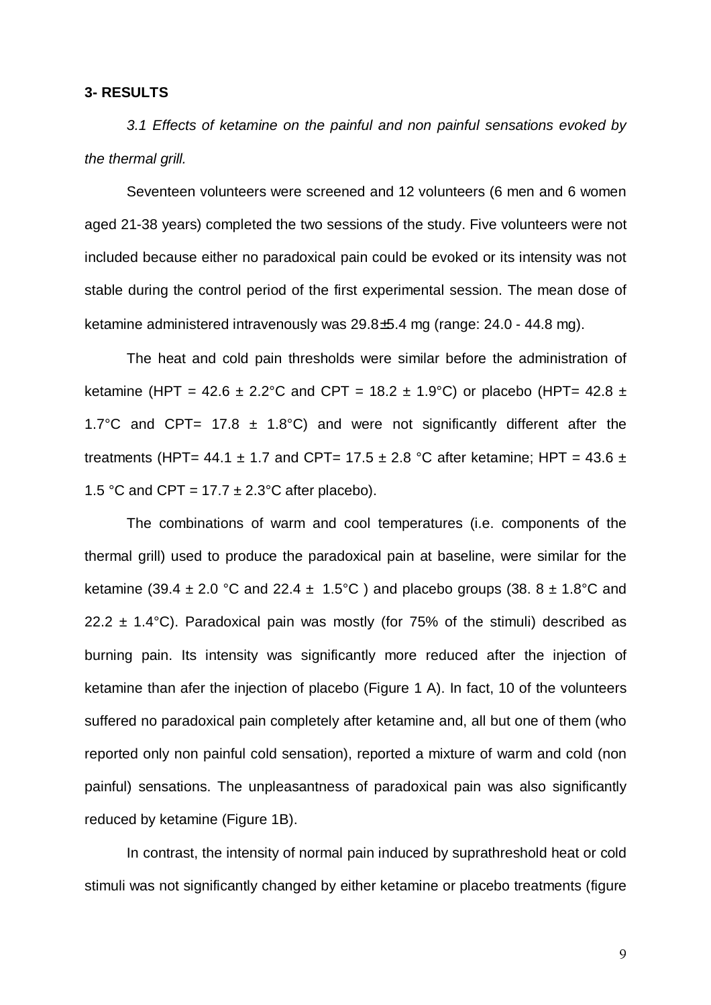## **3- RESULTS**

3.1 Effects of ketamine on the painful and non painful sensations evoked by the thermal grill.

Seventeen volunteers were screened and 12 volunteers (6 men and 6 women aged 21-38 years) completed the two sessions of the study. Five volunteers were not included because either no paradoxical pain could be evoked or its intensity was not stable during the control period of the first experimental session. The mean dose of ketamine administered intravenously was 29.8±5.4 mg (range: 24.0 - 44.8 mg).

The heat and cold pain thresholds were similar before the administration of ketamine (HPT = 42.6  $\pm$  2.2°C and CPT = 18.2  $\pm$  1.9°C) or placebo (HPT= 42.8  $\pm$ 1.7°C and CPT= 17.8  $\pm$  1.8°C) and were not significantly different after the treatments (HPT= 44.1  $\pm$  1.7 and CPT= 17.5  $\pm$  2.8 °C after ketamine; HPT = 43.6  $\pm$ 1.5 °C and CPT = 17.7  $\pm$  2.3°C after placebo).

The combinations of warm and cool temperatures (i.e. components of the thermal grill) used to produce the paradoxical pain at baseline, were similar for the ketamine (39.4  $\pm$  2.0 °C and 22.4  $\pm$  1.5°C ) and placebo groups (38. 8  $\pm$  1.8°C and 22.2  $\pm$  1.4°C). Paradoxical pain was mostly (for 75% of the stimuli) described as burning pain. Its intensity was significantly more reduced after the injection of ketamine than afer the injection of placebo (Figure 1 A). In fact, 10 of the volunteers suffered no paradoxical pain completely after ketamine and, all but one of them (who reported only non painful cold sensation), reported a mixture of warm and cold (non painful) sensations. The unpleasantness of paradoxical pain was also significantly reduced by ketamine (Figure 1B).

In contrast, the intensity of normal pain induced by suprathreshold heat or cold stimuli was not significantly changed by either ketamine or placebo treatments (figure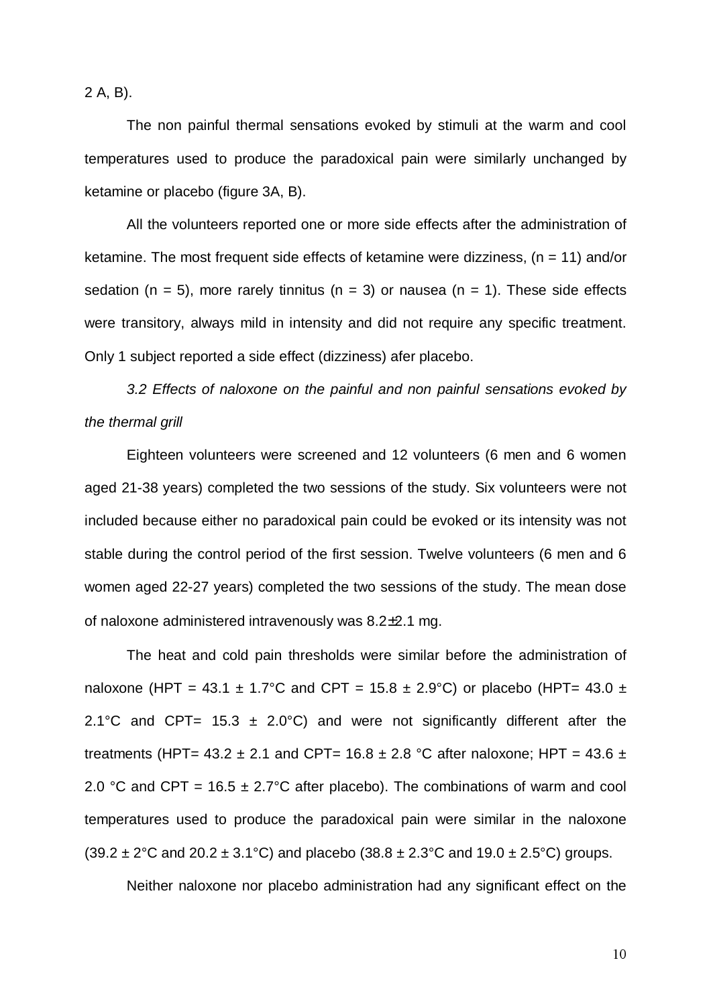2 A, B).

The non painful thermal sensations evoked by stimuli at the warm and cool temperatures used to produce the paradoxical pain were similarly unchanged by ketamine or placebo (figure 3A, B).

All the volunteers reported one or more side effects after the administration of ketamine. The most frequent side effects of ketamine were dizziness,  $(n = 11)$  and/or sedation (n = 5), more rarely tinnitus (n = 3) or nausea (n = 1). These side effects were transitory, always mild in intensity and did not require any specific treatment. Only 1 subject reported a side effect (dizziness) afer placebo.

3.2 Effects of naloxone on the painful and non painful sensations evoked by the thermal grill

Eighteen volunteers were screened and 12 volunteers (6 men and 6 women aged 21-38 years) completed the two sessions of the study. Six volunteers were not included because either no paradoxical pain could be evoked or its intensity was not stable during the control period of the first session. Twelve volunteers (6 men and 6 women aged 22-27 years) completed the two sessions of the study. The mean dose of naloxone administered intravenously was 8.2±2.1 mg.

The heat and cold pain thresholds were similar before the administration of naloxone (HPT = 43.1  $\pm$  1.7°C and CPT = 15.8  $\pm$  2.9°C) or placebo (HPT= 43.0  $\pm$ 2.1°C and CPT= 15.3  $\pm$  2.0°C) and were not significantly different after the treatments (HPT=  $43.2 \pm 2.1$  and CPT=  $16.8 \pm 2.8$  °C after naloxone; HPT =  $43.6 \pm$ 2.0 °C and CPT =  $16.5 \pm 2.7$ °C after placebo). The combinations of warm and cool temperatures used to produce the paradoxical pain were similar in the naloxone  $(39.2 \pm 2^{\circ}$ C and  $20.2 \pm 3.1^{\circ}$ C) and placebo  $(38.8 \pm 2.3^{\circ}$ C and  $19.0 \pm 2.5^{\circ}$ C) groups.

Neither naloxone nor placebo administration had any significant effect on the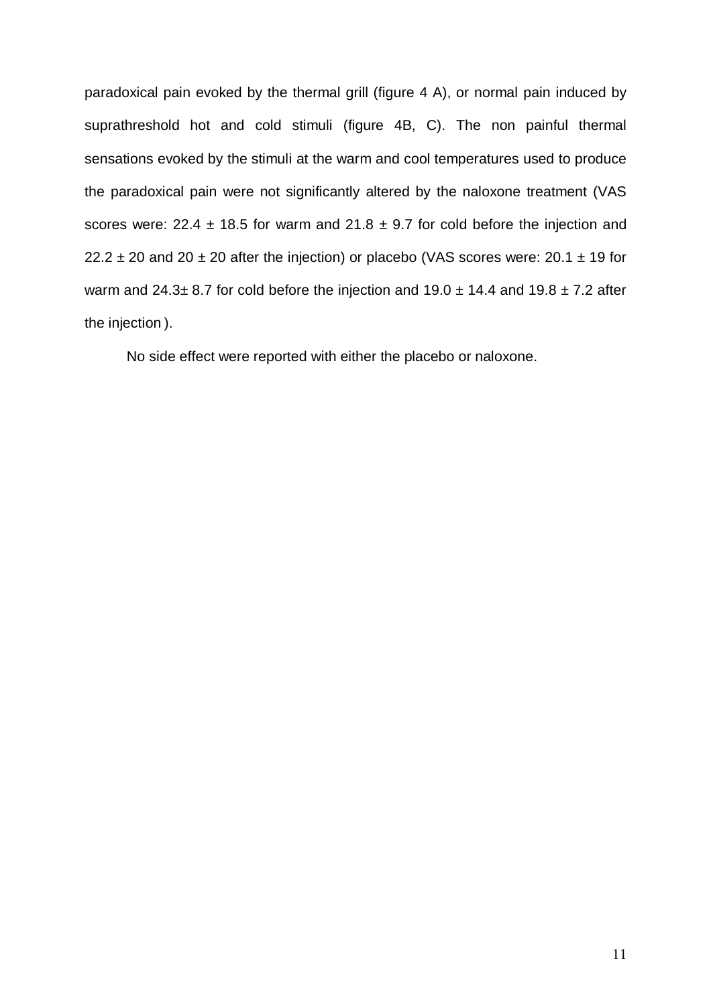paradoxical pain evoked by the thermal grill (figure 4 A), or normal pain induced by suprathreshold hot and cold stimuli (figure 4B, C). The non painful thermal sensations evoked by the stimuli at the warm and cool temperatures used to produce the paradoxical pain were not significantly altered by the naloxone treatment (VAS scores were: 22.4  $\pm$  18.5 for warm and 21.8  $\pm$  9.7 for cold before the injection and 22.2  $\pm$  20 and 20  $\pm$  20 after the injection) or placebo (VAS scores were: 20.1  $\pm$  19 for warm and  $24.3\pm 8.7$  for cold before the injection and  $19.0\pm 14.4$  and  $19.8\pm 7.2$  after the injection ).

No side effect were reported with either the placebo or naloxone.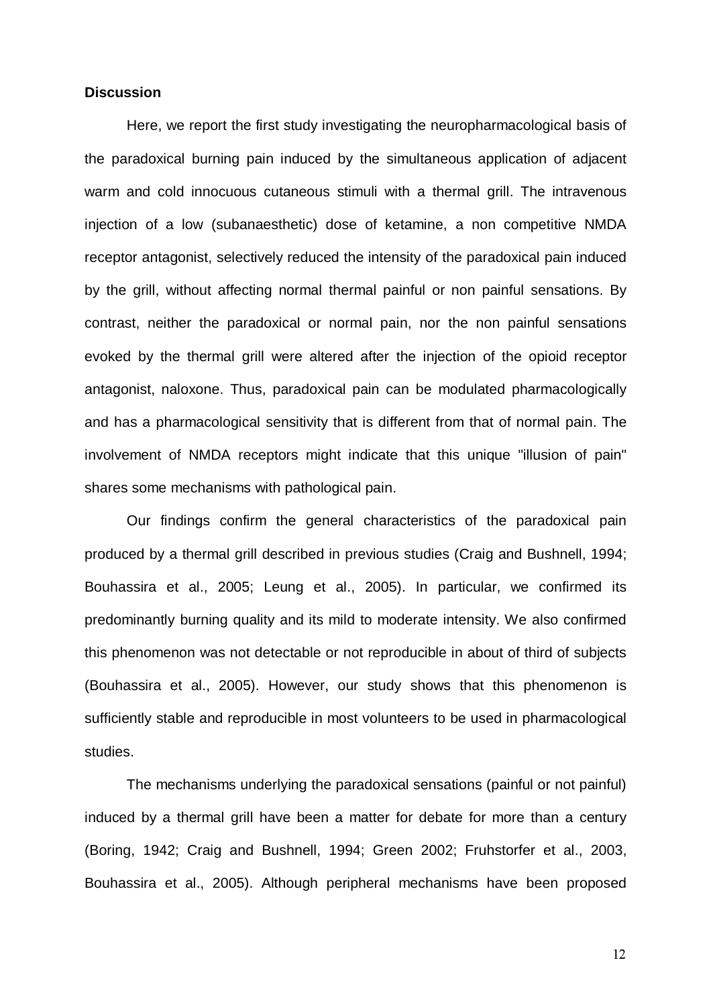## **Discussion**

Here, we report the first study investigating the neuropharmacological basis of the paradoxical burning pain induced by the simultaneous application of adjacent warm and cold innocuous cutaneous stimuli with a thermal grill. The intravenous injection of a low (subanaesthetic) dose of ketamine, a non competitive NMDA receptor antagonist, selectively reduced the intensity of the paradoxical pain induced by the grill, without affecting normal thermal painful or non painful sensations. By contrast, neither the paradoxical or normal pain, nor the non painful sensations evoked by the thermal grill were altered after the injection of the opioid receptor antagonist, naloxone. Thus, paradoxical pain can be modulated pharmacologically and has a pharmacological sensitivity that is different from that of normal pain. The involvement of NMDA receptors might indicate that this unique "illusion of pain" shares some mechanisms with pathological pain.

Our findings confirm the general characteristics of the paradoxical pain produced by a thermal grill described in previous studies (Craig and Bushnell, 1994; Bouhassira et al., 2005; Leung et al., 2005). In particular, we confirmed its predominantly burning quality and its mild to moderate intensity. We also confirmed this phenomenon was not detectable or not reproducible in about of third of subjects (Bouhassira et al., 2005). However, our study shows that this phenomenon is sufficiently stable and reproducible in most volunteers to be used in pharmacological studies.

The mechanisms underlying the paradoxical sensations (painful or not painful) induced by a thermal grill have been a matter for debate for more than a century (Boring, 1942; Craig and Bushnell, 1994; Green 2002; Fruhstorfer et al., 2003, Bouhassira et al., 2005). Although peripheral mechanisms have been proposed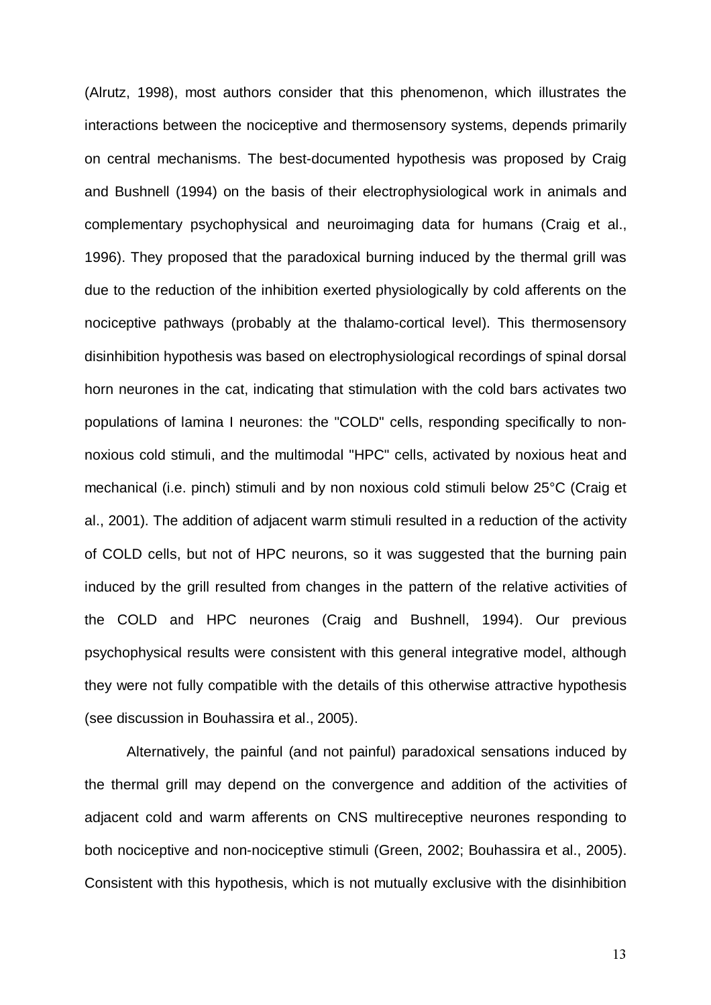(Alrutz, 1998), most authors consider that this phenomenon, which illustrates the interactions between the nociceptive and thermosensory systems, depends primarily on central mechanisms. The best-documented hypothesis was proposed by Craig and Bushnell (1994) on the basis of their electrophysiological work in animals and complementary psychophysical and neuroimaging data for humans (Craig et al., 1996). They proposed that the paradoxical burning induced by the thermal grill was due to the reduction of the inhibition exerted physiologically by cold afferents on the nociceptive pathways (probably at the thalamo-cortical level). This thermosensory disinhibition hypothesis was based on electrophysiological recordings of spinal dorsal horn neurones in the cat, indicating that stimulation with the cold bars activates two populations of lamina I neurones: the "COLD" cells, responding specifically to nonnoxious cold stimuli, and the multimodal "HPC" cells, activated by noxious heat and mechanical (i.e. pinch) stimuli and by non noxious cold stimuli below 25°C (Craig et al., 2001). The addition of adjacent warm stimuli resulted in a reduction of the activity of COLD cells, but not of HPC neurons, so it was suggested that the burning pain induced by the grill resulted from changes in the pattern of the relative activities of the COLD and HPC neurones (Craig and Bushnell, 1994). Our previous psychophysical results were consistent with this general integrative model, although they were not fully compatible with the details of this otherwise attractive hypothesis (see discussion in Bouhassira et al., 2005).

Alternatively, the painful (and not painful) paradoxical sensations induced by the thermal grill may depend on the convergence and addition of the activities of adjacent cold and warm afferents on CNS multireceptive neurones responding to both nociceptive and non-nociceptive stimuli (Green, 2002; Bouhassira et al., 2005). Consistent with this hypothesis, which is not mutually exclusive with the disinhibition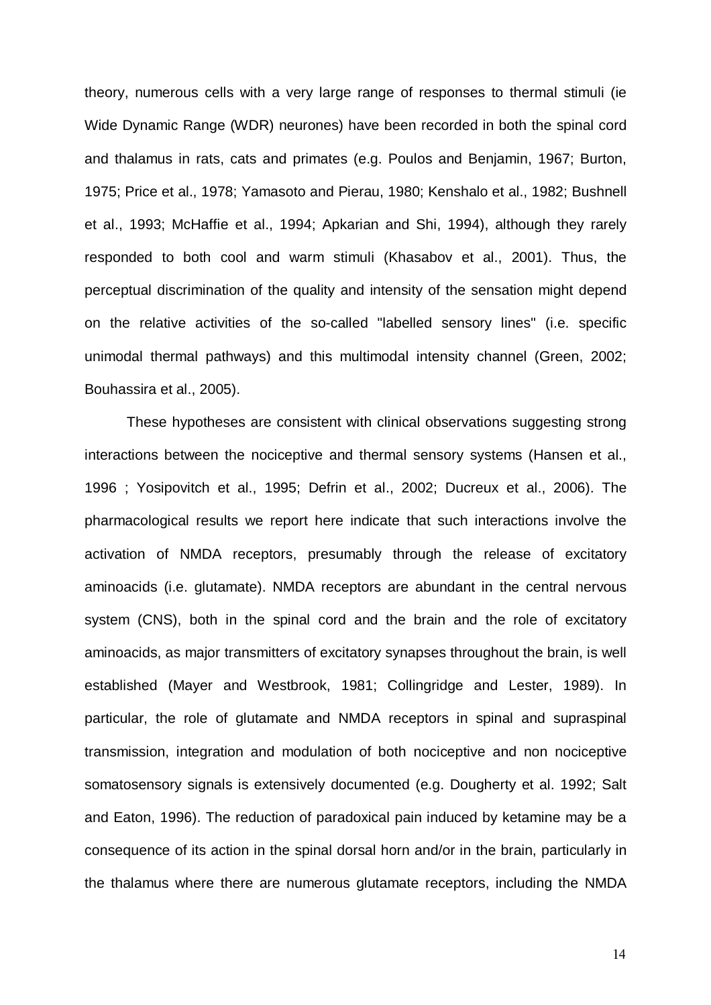theory, numerous cells with a very large range of responses to thermal stimuli (ie Wide Dynamic Range (WDR) neurones) have been recorded in both the spinal cord and thalamus in rats, cats and primates (e.g. Poulos and Benjamin, 1967; Burton, 1975; Price et al., 1978; Yamasoto and Pierau, 1980; Kenshalo et al., 1982; Bushnell et al., 1993; McHaffie et al., 1994; Apkarian and Shi, 1994), although they rarely responded to both cool and warm stimuli (Khasabov et al., 2001). Thus, the perceptual discrimination of the quality and intensity of the sensation might depend on the relative activities of the so-called "labelled sensory lines" (i.e. specific unimodal thermal pathways) and this multimodal intensity channel (Green, 2002; Bouhassira et al., 2005).

These hypotheses are consistent with clinical observations suggesting strong interactions between the nociceptive and thermal sensory systems (Hansen et al., 1996 ; Yosipovitch et al., 1995; Defrin et al., 2002; Ducreux et al., 2006). The pharmacological results we report here indicate that such interactions involve the activation of NMDA receptors, presumably through the release of excitatory aminoacids (i.e. glutamate). NMDA receptors are abundant in the central nervous system (CNS), both in the spinal cord and the brain and the role of excitatory aminoacids, as major transmitters of excitatory synapses throughout the brain, is well established (Mayer and Westbrook, 1981; Collingridge and Lester, 1989). In particular, the role of glutamate and NMDA receptors in spinal and supraspinal transmission, integration and modulation of both nociceptive and non nociceptive somatosensory signals is extensively documented (e.g. Dougherty et al. 1992; Salt and Eaton, 1996). The reduction of paradoxical pain induced by ketamine may be a consequence of its action in the spinal dorsal horn and/or in the brain, particularly in the thalamus where there are numerous glutamate receptors, including the NMDA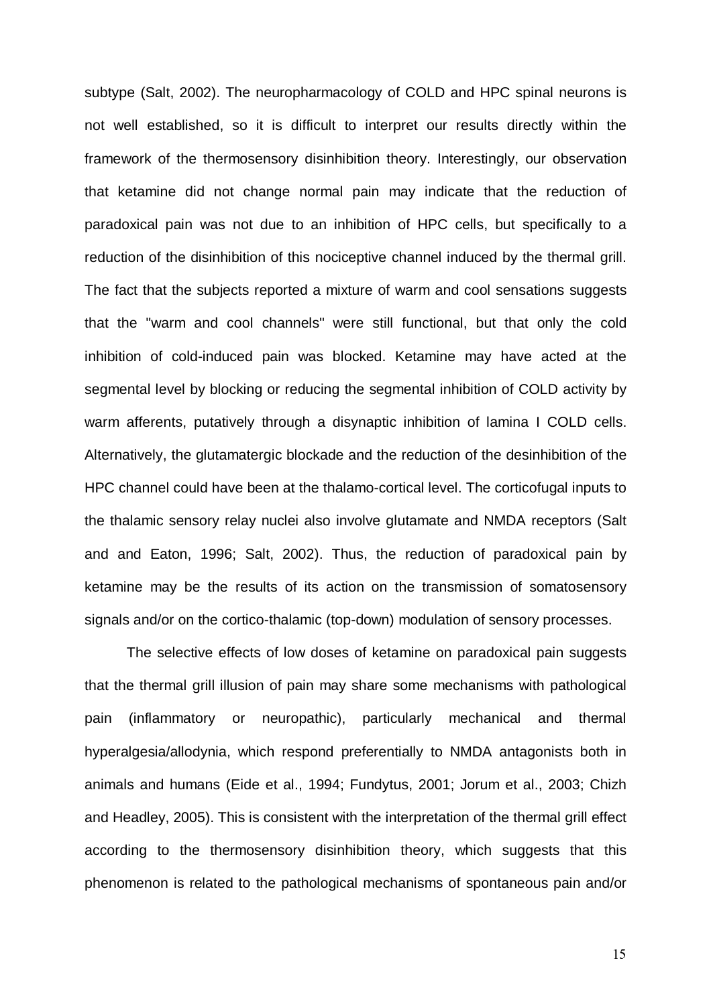subtype (Salt, 2002). The neuropharmacology of COLD and HPC spinal neurons is not well established, so it is difficult to interpret our results directly within the framework of the thermosensory disinhibition theory. Interestingly, our observation that ketamine did not change normal pain may indicate that the reduction of paradoxical pain was not due to an inhibition of HPC cells, but specifically to a reduction of the disinhibition of this nociceptive channel induced by the thermal grill. The fact that the subjects reported a mixture of warm and cool sensations suggests that the "warm and cool channels" were still functional, but that only the cold inhibition of cold-induced pain was blocked. Ketamine may have acted at the segmental level by blocking or reducing the segmental inhibition of COLD activity by warm afferents, putatively through a disynaptic inhibition of lamina I COLD cells. Alternatively, the glutamatergic blockade and the reduction of the desinhibition of the HPC channel could have been at the thalamo-cortical level. The corticofugal inputs to the thalamic sensory relay nuclei also involve glutamate and NMDA receptors (Salt and and Eaton, 1996; Salt, 2002). Thus, the reduction of paradoxical pain by ketamine may be the results of its action on the transmission of somatosensory signals and/or on the cortico-thalamic (top-down) modulation of sensory processes.

The selective effects of low doses of ketamine on paradoxical pain suggests that the thermal grill illusion of pain may share some mechanisms with pathological pain (inflammatory or neuropathic), particularly mechanical and thermal hyperalgesia/allodynia, which respond preferentially to NMDA antagonists both in animals and humans (Eide et al., 1994; Fundytus, 2001; Jorum et al., 2003; Chizh and Headley, 2005). This is consistent with the interpretation of the thermal grill effect according to the thermosensory disinhibition theory, which suggests that this phenomenon is related to the pathological mechanisms of spontaneous pain and/or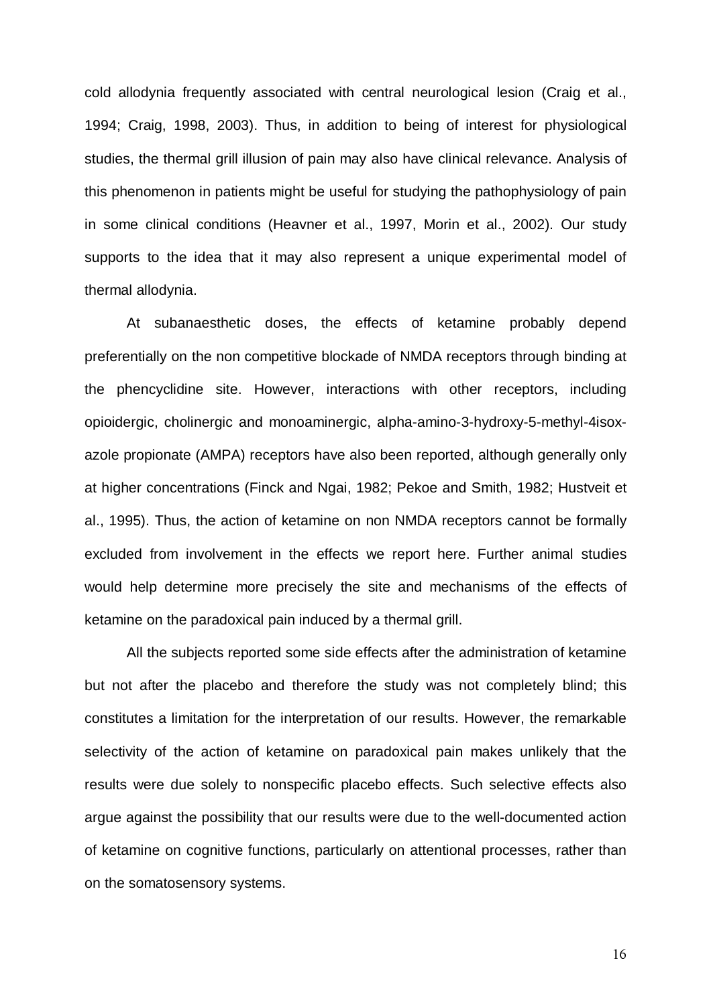cold allodynia frequently associated with central neurological lesion (Craig et al., 1994; Craig, 1998, 2003). Thus, in addition to being of interest for physiological studies, the thermal grill illusion of pain may also have clinical relevance. Analysis of this phenomenon in patients might be useful for studying the pathophysiology of pain in some clinical conditions (Heavner et al., 1997, Morin et al., 2002). Our study supports to the idea that it may also represent a unique experimental model of thermal allodynia.

At subanaesthetic doses, the effects of ketamine probably depend preferentially on the non competitive blockade of NMDA receptors through binding at the phencyclidine site. However, interactions with other receptors, including opioidergic, cholinergic and monoaminergic, alpha-amino-3-hydroxy-5-methyl-4isoxazole propionate (AMPA) receptors have also been reported, although generally only at higher concentrations (Finck and Ngai, 1982; Pekoe and Smith, 1982; Hustveit et al., 1995). Thus, the action of ketamine on non NMDA receptors cannot be formally excluded from involvement in the effects we report here. Further animal studies would help determine more precisely the site and mechanisms of the effects of ketamine on the paradoxical pain induced by a thermal grill.

All the subjects reported some side effects after the administration of ketamine but not after the placebo and therefore the study was not completely blind; this constitutes a limitation for the interpretation of our results. However, the remarkable selectivity of the action of ketamine on paradoxical pain makes unlikely that the results were due solely to nonspecific placebo effects. Such selective effects also argue against the possibility that our results were due to the well-documented action of ketamine on cognitive functions, particularly on attentional processes, rather than on the somatosensory systems.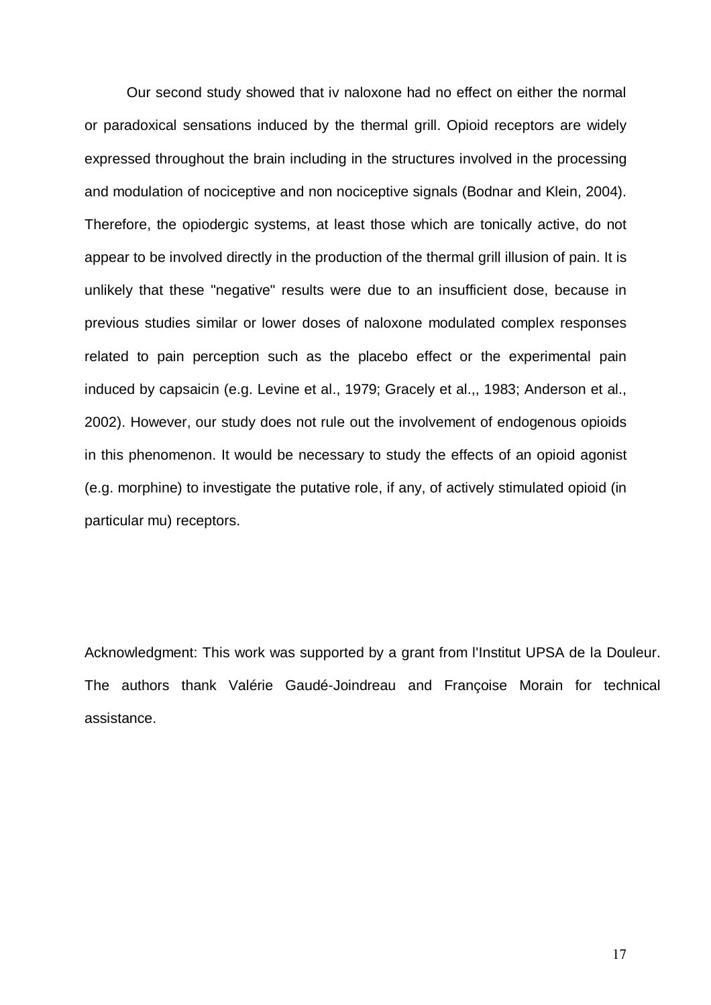Our second study showed that iv naloxone had no effect on either the normal or paradoxical sensations induced by the thermal grill. Opioid receptors are widely expressed throughout the brain including in the structures involved in the processing and modulation of nociceptive and non nociceptive signals (Bodnar and Klein, 2004). Therefore, the opiodergic systems, at least those which are tonically active, do not appear to be involved directly in the production of the thermal grill illusion of pain. It is unlikely that these "negative" results were due to an insufficient dose, because in previous studies similar or lower doses of naloxone modulated complex responses related to pain perception such as the placebo effect or the experimental pain induced by capsaicin (e.g. Levine et al., 1979; Gracely et al.,, 1983; Anderson et al., 2002). However, our study does not rule out the involvement of endogenous opioids in this phenomenon. It would be necessary to study the effects of an opioid agonist (e.g. morphine) to investigate the putative role, if any, of actively stimulated opioid (in particular mu) receptors.

Acknowledgment: This work was supported by a grant from l'Institut UPSA de la Douleur. The authors thank Valérie Gaudé-Joindreau and Françoise Morain for technical assistance.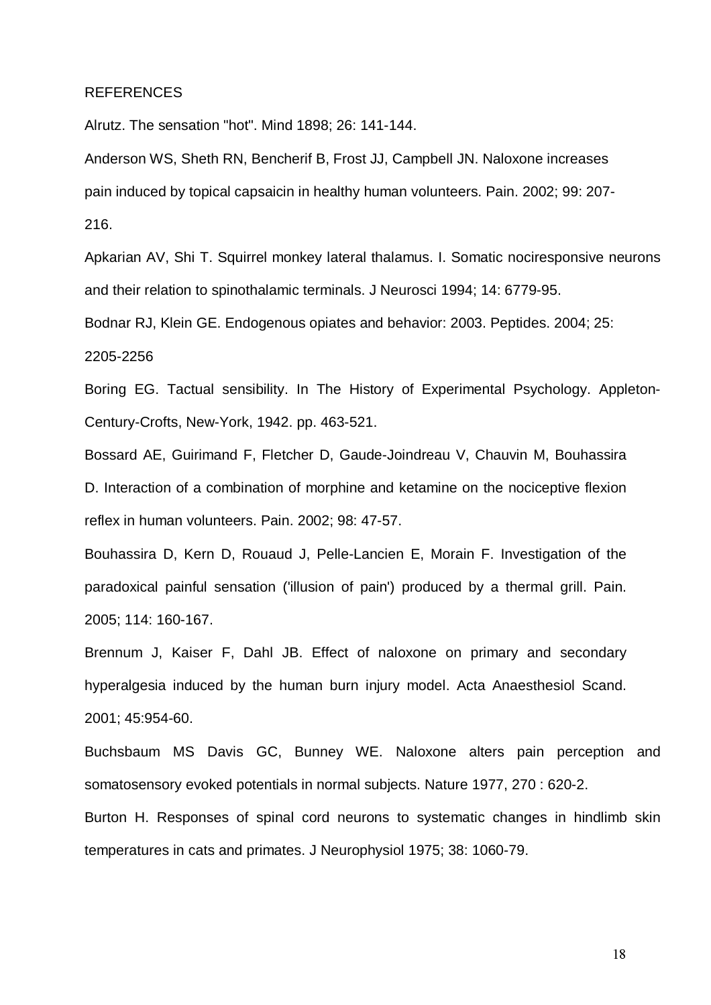## REFERENCES

Alrutz. The sensation "hot". Mind 1898; 26: 141-144.

Anderson WS, Sheth RN, Bencherif B, Frost JJ, Campbell JN. Naloxone increases pain induced by topical capsaicin in healthy human volunteers. Pain. 2002; 99: 207- 216.

Apkarian AV, Shi T. Squirrel monkey lateral thalamus. I. Somatic nociresponsive neurons and their relation to spinothalamic terminals. J Neurosci 1994; 14: 6779-95.

Bodnar RJ, Klein GE. Endogenous opiates and behavior: 2003. Peptides. 2004; 25:

#### 2205-2256

Boring EG. Tactual sensibility. In The History of Experimental Psychology. Appleton-Century-Crofts, New-York, 1942. pp. 463-521.

Bossard AE, Guirimand F, Fletcher D, Gaude-Joindreau V, Chauvin M, Bouhassira D. Interaction of a combination of morphine and ketamine on the nociceptive flexion

reflex in human volunteers. Pain. 2002; 98: 47-57.

Bouhassira D, Kern D, Rouaud J, Pelle-Lancien E, Morain F. Investigation of the paradoxical painful sensation ('illusion of pain') produced by a thermal grill. Pain. 2005; 114: 160-167.

Brennum J, Kaiser F, Dahl JB. Effect of naloxone on primary and secondary hyperalgesia induced by the human burn injury model. Acta Anaesthesiol Scand. 2001; 45:954-60.

Buchsbaum MS Davis GC, Bunney WE. Naloxone alters pain perception and somatosensory evoked potentials in normal subjects. Nature 1977, 270 : 620-2.

Burton H. Responses of spinal cord neurons to systematic changes in hindlimb skin temperatures in cats and primates. J Neurophysiol 1975; 38: 1060-79.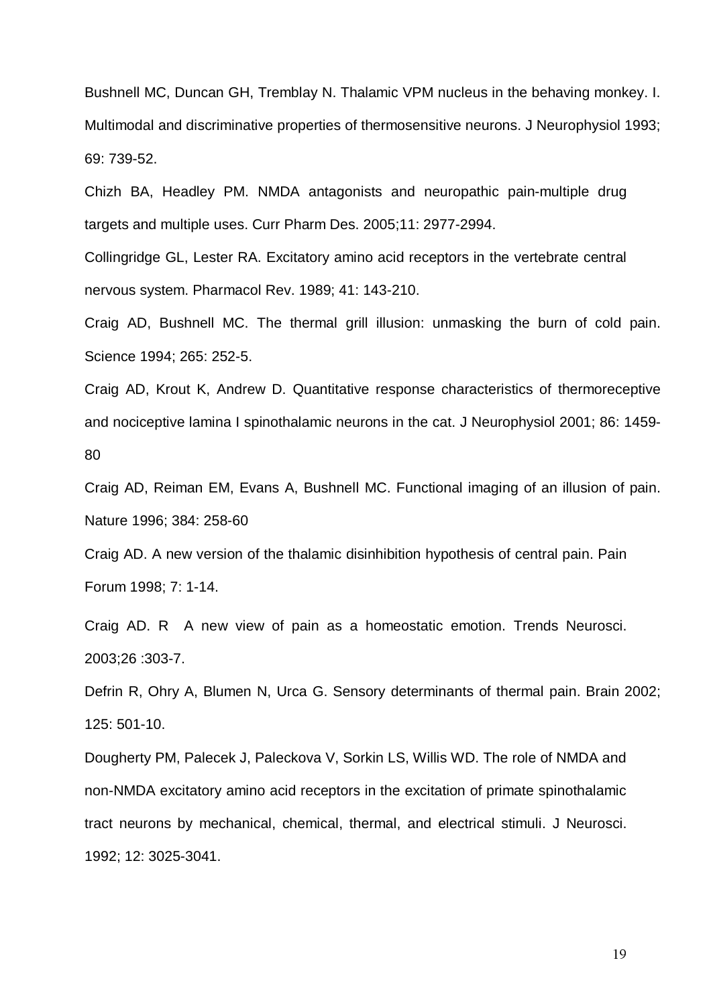Bushnell MC, Duncan GH, Tremblay N. Thalamic VPM nucleus in the behaving monkey. I. Multimodal and discriminative properties of thermosensitive neurons. J Neurophysiol 1993; 69: 739-52.

Chizh BA, Headley PM. NMDA antagonists and neuropathic pain-multiple drug targets and multiple uses. Curr Pharm Des. 2005;11: 2977-2994.

Collingridge GL, Lester RA. Excitatory amino acid receptors in the vertebrate central nervous system. Pharmacol Rev. 1989; 41: 143-210.

Craig AD, Bushnell MC. The thermal grill illusion: unmasking the burn of cold pain. Science 1994; 265: 252-5.

Craig AD, Krout K, Andrew D. Quantitative response characteristics of thermoreceptive and nociceptive lamina I spinothalamic neurons in the cat. J Neurophysiol 2001; 86: 1459- 80

Craig AD, Reiman EM, Evans A, Bushnell MC. Functional imaging of an illusion of pain. Nature 1996; 384: 258-60

Craig AD. A new version of the thalamic disinhibition hypothesis of central pain. Pain Forum 1998; 7: 1-14.

Craig AD. R A new view of pain as a homeostatic emotion. Trends Neurosci. 2003;26 :303-7.

Defrin R, Ohry A, Blumen N, Urca G. Sensory determinants of thermal pain. Brain 2002; 125: 501-10.

Dougherty PM, Palecek J, Paleckova V, Sorkin LS, Willis WD. The role of NMDA and non-NMDA excitatory amino acid receptors in the excitation of primate spinothalamic tract neurons by mechanical, chemical, thermal, and electrical stimuli. J Neurosci. 1992; 12: 3025-3041.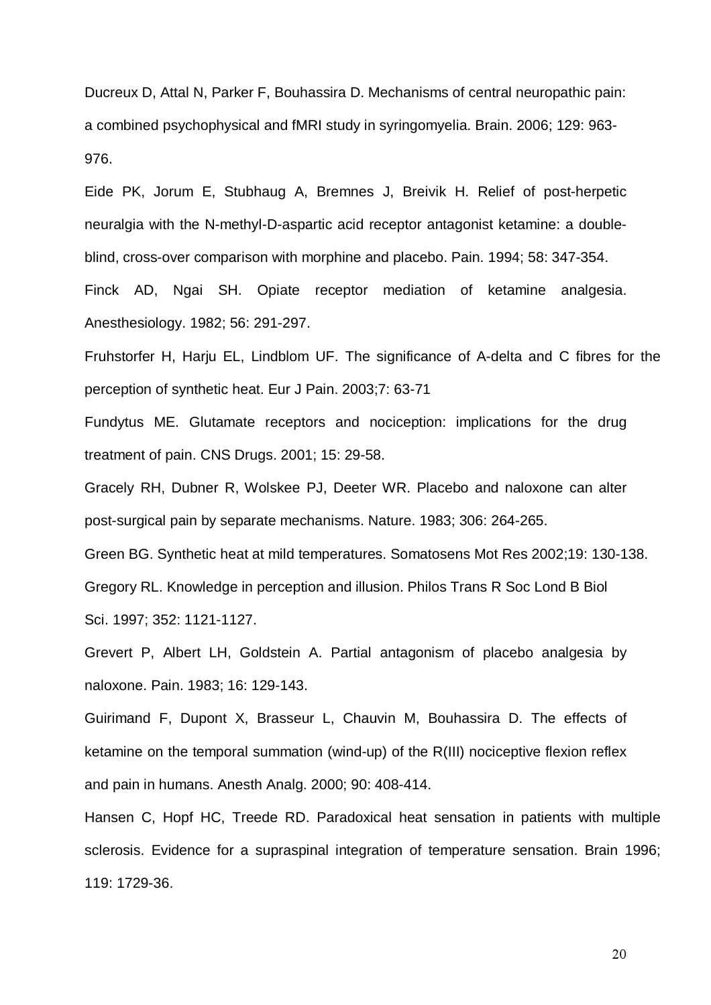Ducreux D, Attal N, Parker F, Bouhassira D. Mechanisms of central neuropathic pain: a combined psychophysical and fMRI study in syringomyelia. Brain. 2006; 129: 963- 976.

Eide PK, Jorum E, Stubhaug A, Bremnes J, Breivik H. Relief of post-herpetic neuralgia with the N-methyl-D-aspartic acid receptor antagonist ketamine: a doubleblind, cross-over comparison with morphine and placebo. Pain. 1994; 58: 347-354.

Finck AD, Ngai SH. Opiate receptor mediation of ketamine analgesia. Anesthesiology. 1982; 56: 291-297.

Fruhstorfer H, Harju EL, Lindblom UF. The significance of A-delta and C fibres for the perception of synthetic heat. Eur J Pain. 2003;7: 63-71

Fundytus ME. Glutamate receptors and nociception: implications for the drug treatment of pain. CNS Drugs. 2001; 15: 29-58.

Gracely RH, Dubner R, Wolskee PJ, Deeter WR. Placebo and naloxone can alter post-surgical pain by separate mechanisms. Nature. 1983; 306: 264-265.

Green BG. Synthetic heat at mild temperatures. Somatosens Mot Res 2002;19: 130-138. Gregory RL. Knowledge in perception and illusion. Philos Trans R Soc Lond B Biol Sci. 1997; 352: 1121-1127.

Grevert P, Albert LH, Goldstein A. Partial antagonism of placebo analgesia by naloxone. Pain. 1983; 16: 129-143.

Guirimand F, Dupont X, Brasseur L, Chauvin M, Bouhassira D. The effects of ketamine on the temporal summation (wind-up) of the R(III) nociceptive flexion reflex and pain in humans. Anesth Analg. 2000; 90: 408-414.

Hansen C, Hopf HC, Treede RD. Paradoxical heat sensation in patients with multiple sclerosis. Evidence for a supraspinal integration of temperature sensation. Brain 1996; 119: 1729-36.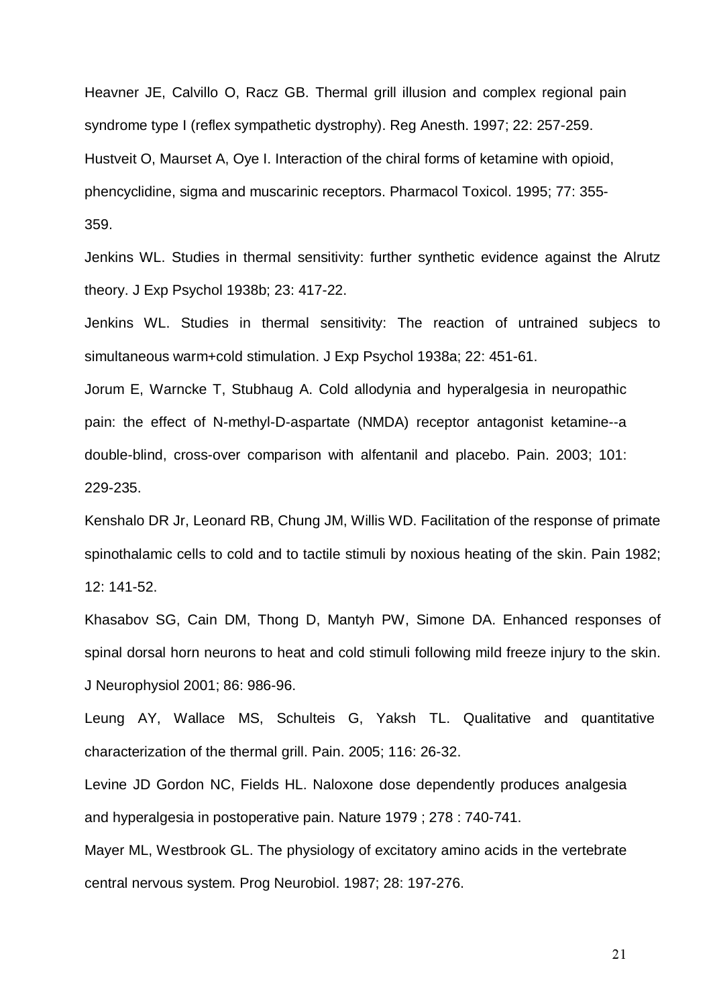Heavner JE, Calvillo O, Racz GB. Thermal grill illusion and complex regional pain syndrome type I (reflex sympathetic dystrophy). Reg Anesth. 1997; 22: 257-259. Hustveit O, Maurset A, Oye I. Interaction of the chiral forms of ketamine with opioid, phencyclidine, sigma and muscarinic receptors. Pharmacol Toxicol. 1995; 77: 355- 359.

Jenkins WL. Studies in thermal sensitivity: further synthetic evidence against the Alrutz theory. J Exp Psychol 1938b; 23: 417-22.

Jenkins WL. Studies in thermal sensitivity: The reaction of untrained subjecs to simultaneous warm+cold stimulation. J Exp Psychol 1938a; 22: 451-61.

Jorum E, Warncke T, Stubhaug A. Cold allodynia and hyperalgesia in neuropathic pain: the effect of N-methyl-D-aspartate (NMDA) receptor antagonist ketamine--a double-blind, cross-over comparison with alfentanil and placebo. Pain. 2003; 101: 229-235.

Kenshalo DR Jr, Leonard RB, Chung JM, Willis WD. Facilitation of the response of primate spinothalamic cells to cold and to tactile stimuli by noxious heating of the skin. Pain 1982; 12: 141-52.

Khasabov SG, Cain DM, Thong D, Mantyh PW, Simone DA. Enhanced responses of spinal dorsal horn neurons to heat and cold stimuli following mild freeze injury to the skin. J Neurophysiol 2001; 86: 986-96.

Leung AY, Wallace MS, Schulteis G, Yaksh TL. Qualitative and quantitative characterization of the thermal grill. Pain. 2005; 116: 26-32.

Levine JD Gordon NC, Fields HL. Naloxone dose dependently produces analgesia and hyperalgesia in postoperative pain. Nature 1979 ; 278 : 740-741.

Mayer ML, Westbrook GL. The physiology of excitatory amino acids in the vertebrate central nervous system. Prog Neurobiol. 1987; 28: 197-276.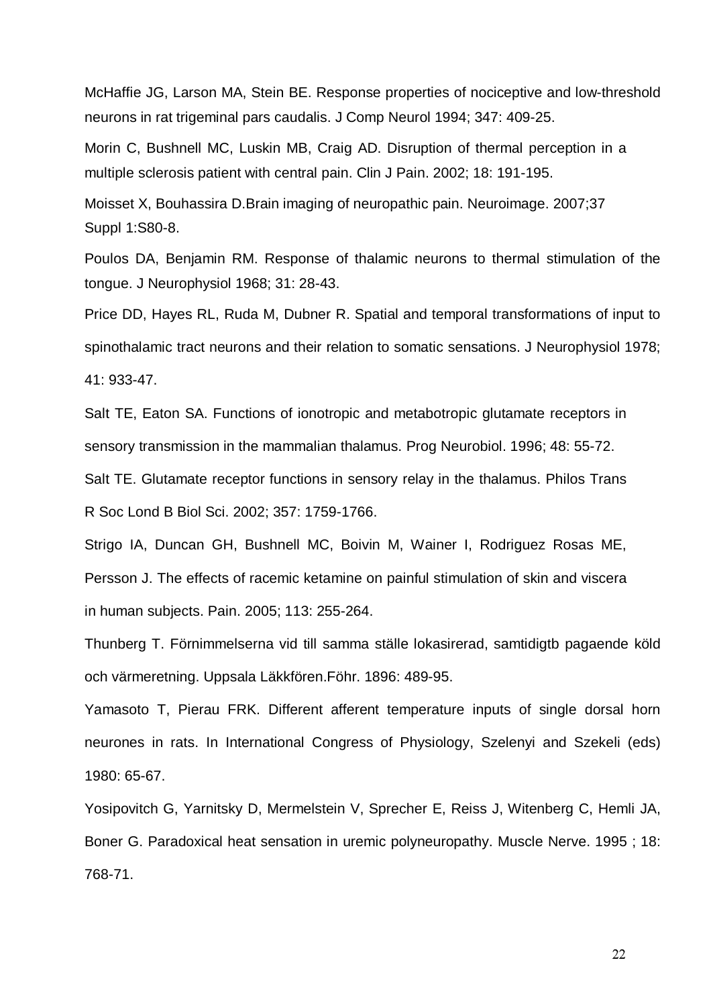McHaffie JG, Larson MA, Stein BE. Response properties of nociceptive and low-threshold neurons in rat trigeminal pars caudalis. J Comp Neurol 1994; 347: 409-25.

Morin C, Bushnell MC, Luskin MB, Craig AD. Disruption of thermal perception in a multiple sclerosis patient with central pain. Clin J Pain. 2002; 18: 191-195.

Moisset X, Bouhassira D.Brain imaging of neuropathic pain. Neuroimage. 2007;37 Suppl 1:S80-8.

Poulos DA, Benjamin RM. Response of thalamic neurons to thermal stimulation of the tongue. J Neurophysiol 1968; 31: 28-43.

Price DD, Hayes RL, Ruda M, Dubner R. Spatial and temporal transformations of input to spinothalamic tract neurons and their relation to somatic sensations. J Neurophysiol 1978; 41: 933-47.

Salt TE, Eaton SA. Functions of ionotropic and metabotropic glutamate receptors in sensory transmission in the mammalian thalamus. Prog Neurobiol. 1996; 48: 55-72.

Salt TE. Glutamate receptor functions in sensory relay in the thalamus. Philos Trans R Soc Lond B Biol Sci. 2002; 357: 1759-1766.

Strigo IA, Duncan GH, Bushnell MC, Boivin M, Wainer I, Rodriguez Rosas ME, Persson J. The effects of racemic ketamine on painful stimulation of skin and viscera in human subjects. Pain. 2005; 113: 255-264.

Thunberg T. Förnimmelserna vid till samma ställe lokasirerad, samtidigtb pagaende köld och värmeretning. Uppsala Läkkfören.Föhr. 1896: 489-95.

Yamasoto T, Pierau FRK. Different afferent temperature inputs of single dorsal horn neurones in rats. In International Congress of Physiology, Szelenyi and Szekeli (eds) 1980: 65-67.

Yosipovitch G, Yarnitsky D, Mermelstein V, Sprecher E, Reiss J, Witenberg C, Hemli JA, Boner G. Paradoxical heat sensation in uremic polyneuropathy. Muscle Nerve. 1995 ; 18: 768-71.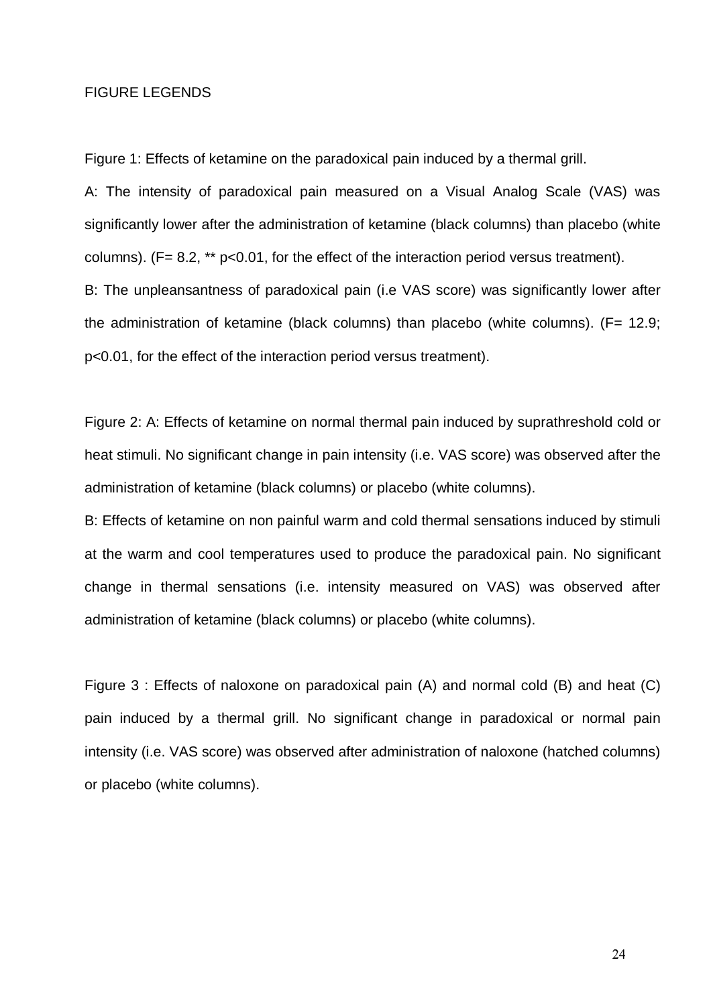# FIGURE LEGENDS

Figure 1: Effects of ketamine on the paradoxical pain induced by a thermal grill.

A: The intensity of paradoxical pain measured on a Visual Analog Scale (VAS) was significantly lower after the administration of ketamine (black columns) than placebo (white columns).  $(F= 8.2, ** p<0.01,$  for the effect of the interaction period versus treatment). B: The unpleansantness of paradoxical pain (i.e VAS score) was significantly lower after the administration of ketamine (black columns) than placebo (white columns).  $(F= 12.9;$ p<0.01, for the effect of the interaction period versus treatment).

Figure 2: A: Effects of ketamine on normal thermal pain induced by suprathreshold cold or heat stimuli. No significant change in pain intensity (i.e. VAS score) was observed after the administration of ketamine (black columns) or placebo (white columns).

B: Effects of ketamine on non painful warm and cold thermal sensations induced by stimuli at the warm and cool temperatures used to produce the paradoxical pain. No significant change in thermal sensations (i.e. intensity measured on VAS) was observed after administration of ketamine (black columns) or placebo (white columns).

Figure 3 : Effects of naloxone on paradoxical pain (A) and normal cold (B) and heat (C) pain induced by a thermal grill. No significant change in paradoxical or normal pain intensity (i.e. VAS score) was observed after administration of naloxone (hatched columns) or placebo (white columns).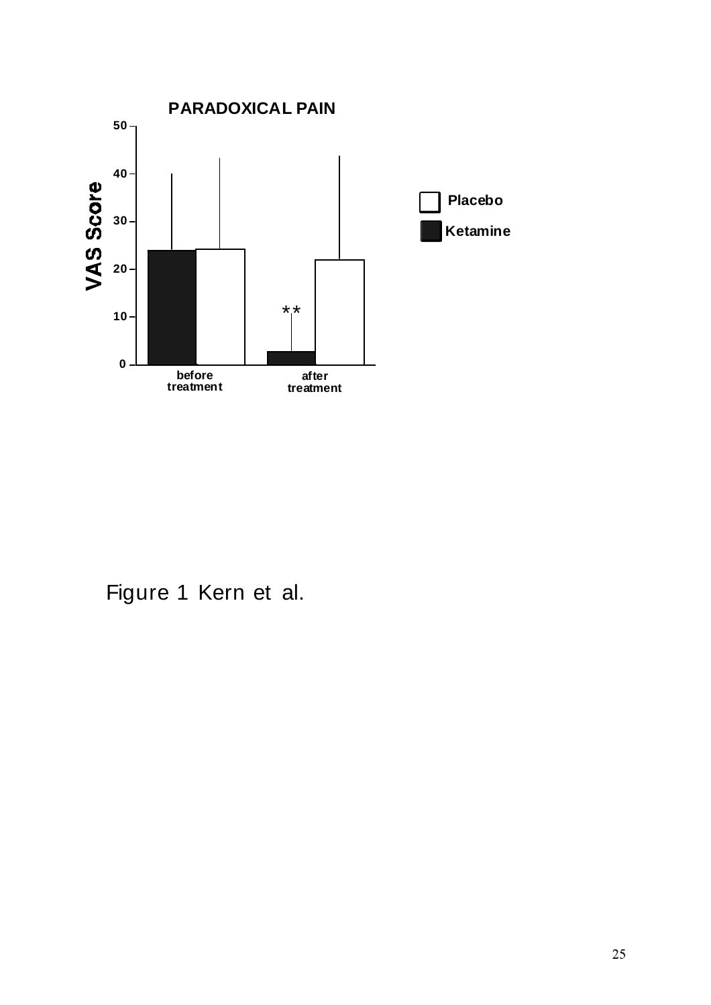

Figure 1 Kern et al.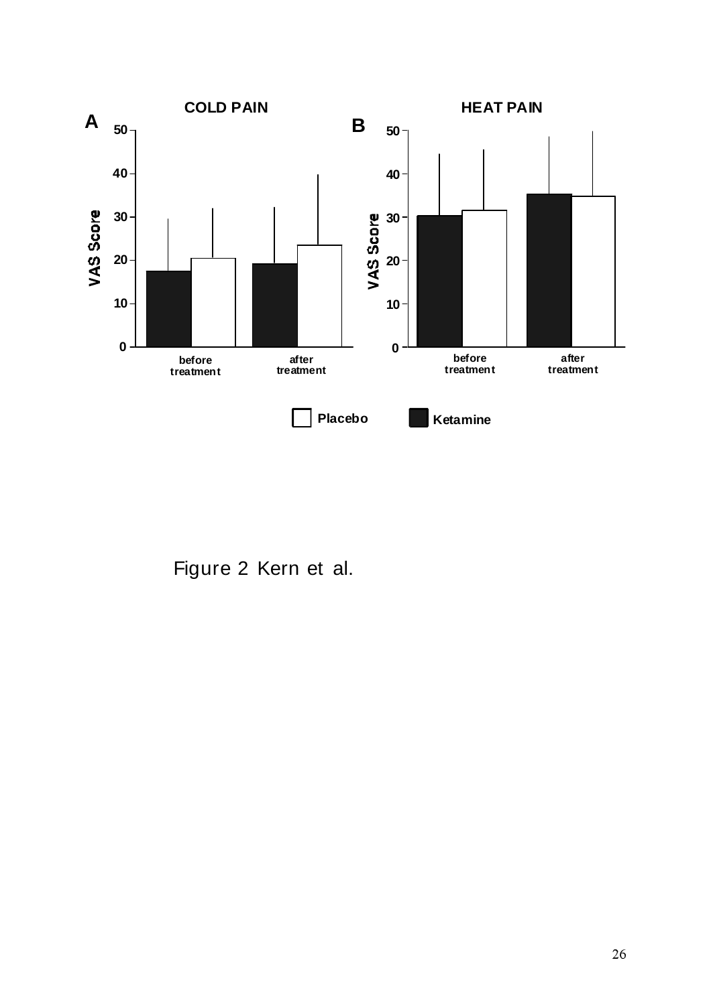

Figure 2 Kern et al.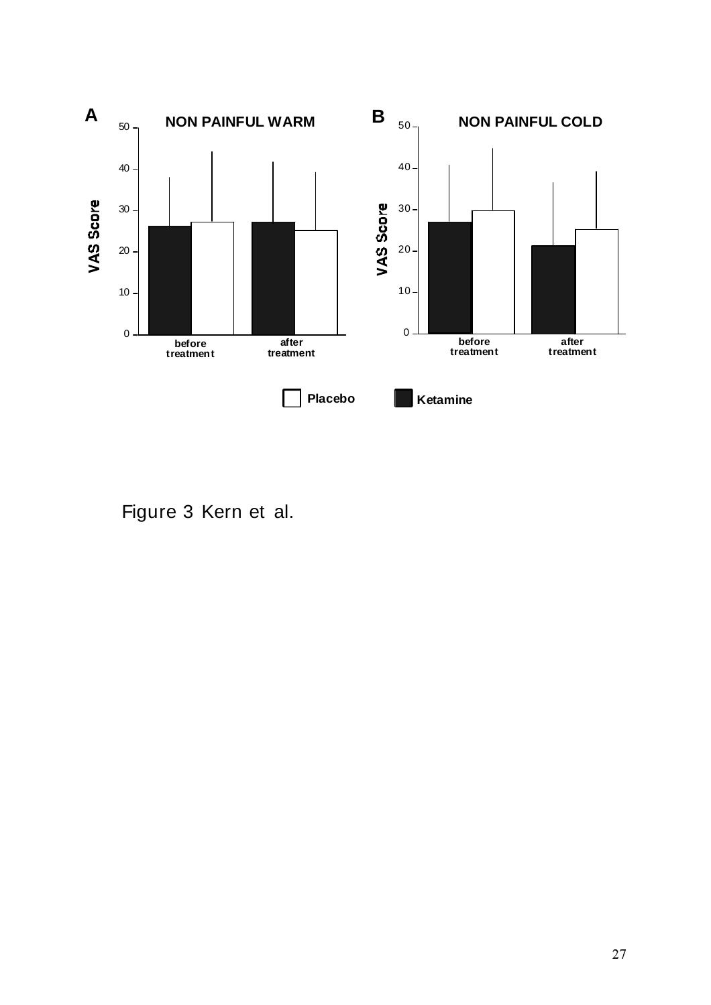

Figure 3 Kern et al.